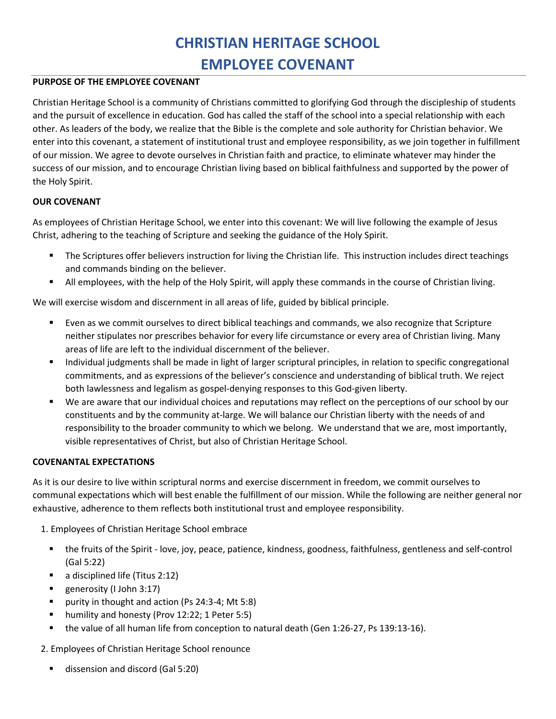# CHRISTIAN HERITAGE SCHOOL EMPLOYEE COVENANT

#### PURPOSE OF THE EMPLOYEE COVENANT

Christian Heritage School is a community of Christians committed to glorifying God through the discipleship of students and the pursuit of excellence in education. God has called the staff of the school into a special relationship with each other. As leaders of the body, we realize that the Bible is the complete and sole authority for Christian behavior. We enter into this covenant, a statement of institutional trust and employee responsibility, as we join together in fulfillment of our mission. We agree to devote ourselves in Christian faith and practice, to eliminate whatever may hinder the success of our mission, and to encourage Christian living based on biblical faithfulness and supported by the power of the Holy Spirit.

## OUR COVENANT

As employees of Christian Heritage School, we enter into this covenant: We will live following the example of Jesus Christ, adhering to the teaching of Scripture and seeking the guidance of the Holy Spirit.

- The Scriptures offer believers instruction for living the Christian life. This instruction includes direct teachings and commands binding on the believer.
- All employees, with the help of the Holy Spirit, will apply these commands in the course of Christian living.

We will exercise wisdom and discernment in all areas of life, guided by biblical principle.

- Even as we commit ourselves to direct biblical teachings and commands, we also recognize that Scripture neither stipulates nor prescribes behavior for every life circumstance or every area of Christian living. Many areas of life are left to the individual discernment of the believer.
- Individual judgments shall be made in light of larger scriptural principles, in relation to specific congregational commitments, and as expressions of the believer's conscience and understanding of biblical truth. We reject both lawlessness and legalism as gospel‐denying responses to this God‐given liberty.
- We are aware that our individual choices and reputations may reflect on the perceptions of our school by our constituents and by the community at-large. We will balance our Christian liberty with the needs of and responsibility to the broader community to which we belong. We understand that we are, most importantly, visible representatives of Christ, but also of Christian Heritage School.

## COVENANTAL EXPECTATIONS

As it is our desire to live within scriptural norms and exercise discernment in freedom, we commit ourselves to communal expectations which will best enable the fulfillment of our mission. While the following are neither general nor exhaustive, adherence to them reflects both institutional trust and employee responsibility.

- 1. Employees of Christian Heritage School embrace
	- the fruits of the Spirit ‐ love, joy, peace, patience, kindness, goodness, faithfulness, gentleness and self‐control (Gal 5:22)
	- a disciplined life (Titus 2:12)
	- generosity (I John 3:17)
	- purity in thought and action (Ps 24:3‐4; Mt 5:8)
	- humility and honesty (Prov 12:22; 1 Peter 5:5)
	- the value of all human life from conception to natural death (Gen 1:26‐27, Ps 139:13‐16).

2. Employees of Christian Heritage School renounce

dissension and discord (Gal 5:20)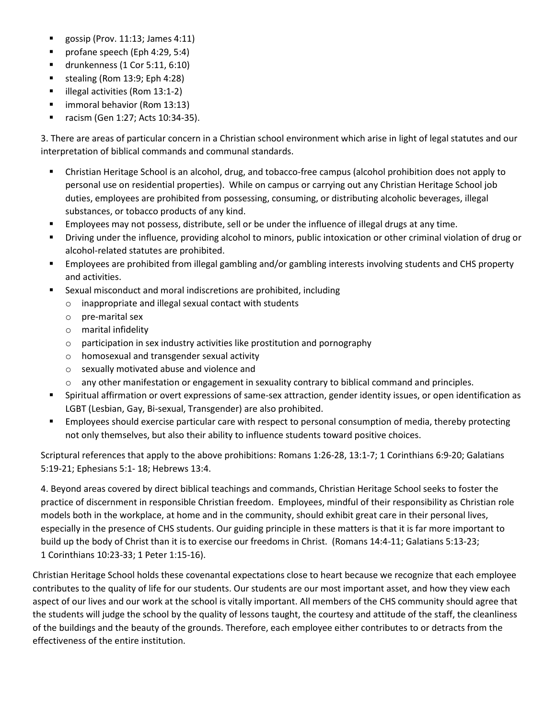- gossip (Prov. 11:13; James 4:11)
- profane speech (Eph 4:29, 5:4)
- drunkenness (1 Cor 5:11, 6:10)
- $\blacksquare$  stealing (Rom 13:9; Eph 4:28)
- illegal activities (Rom 13:1‐2)
- immoral behavior (Rom 13:13)
- racism (Gen 1:27; Acts 10:34‐35).

3. There are areas of particular concern in a Christian school environment which arise in light of legal statutes and our interpretation of biblical commands and communal standards.

- Christian Heritage School is an alcohol, drug, and tobacco‐free campus (alcohol prohibition does not apply to personal use on residential properties). While on campus or carrying out any Christian Heritage School job duties, employees are prohibited from possessing, consuming, or distributing alcoholic beverages, illegal substances, or tobacco products of any kind.
- Employees may not possess, distribute, sell or be under the influence of illegal drugs at any time.
- Driving under the influence, providing alcohol to minors, public intoxication or other criminal violation of drug or alcohol‐related statutes are prohibited.
- Employees are prohibited from illegal gambling and/or gambling interests involving students and CHS property and activities.
- Sexual misconduct and moral indiscretions are prohibited, including
	- o inappropriate and illegal sexual contact with students
	- o pre‐marital sex
	- o marital infidelity
	- o participation in sex industry activities like prostitution and pornography
	- o homosexual and transgender sexual activity
	- o sexually motivated abuse and violence and
	- o any other manifestation or engagement in sexuality contrary to biblical command and principles.
- Spiritual affirmation or overt expressions of same‐sex attraction, gender identity issues, or open identification as LGBT (Lesbian, Gay, Bi‐sexual, Transgender) are also prohibited.
- **Employees should exercise particular care with respect to personal consumption of media, thereby protecting** not only themselves, but also their ability to influence students toward positive choices.

Scriptural references that apply to the above prohibitions: Romans 1:26‐28, 13:1‐7; 1 Corinthians 6:9‐20; Galatians 5:19‐21; Ephesians 5:1‐ 18; Hebrews 13:4.

4. Beyond areas covered by direct biblical teachings and commands, Christian Heritage School seeks to foster the practice of discernment in responsible Christian freedom. Employees, mindful of their responsibility as Christian role models both in the workplace, at home and in the community, should exhibit great care in their personal lives, especially in the presence of CHS students. Our guiding principle in these matters is that it is far more important to build up the body of Christ than it is to exercise our freedoms in Christ. (Romans 14:4‐11; Galatians 5:13‐23; 1 Corinthians 10:23‐33; 1 Peter 1:15‐16).

Christian Heritage School holds these covenantal expectations close to heart because we recognize that each employee contributes to the quality of life for our students. Our students are our most important asset, and how they view each aspect of our lives and our work at the school is vitally important. All members of the CHS community should agree that the students will judge the school by the quality of lessons taught, the courtesy and attitude of the staff, the cleanliness of the buildings and the beauty of the grounds. Therefore, each employee either contributes to or detracts from the effectiveness of the entire institution.